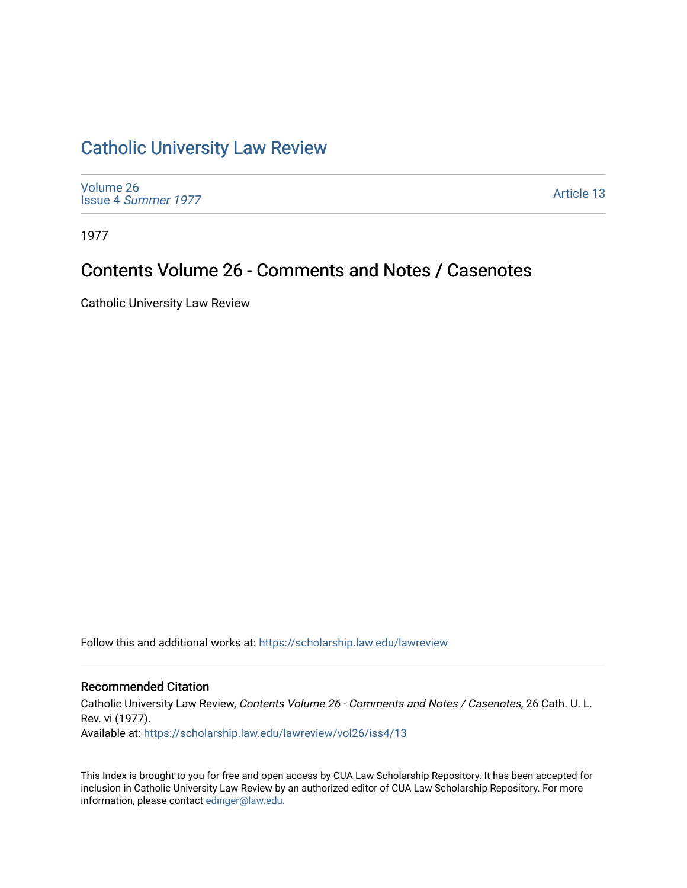## [Catholic University Law Review](https://scholarship.law.edu/lawreview)

[Volume 26](https://scholarship.law.edu/lawreview/vol26) Issue 4 [Summer 1977](https://scholarship.law.edu/lawreview/vol26/iss4) 

[Article 13](https://scholarship.law.edu/lawreview/vol26/iss4/13) 

1977

# Contents Volume 26 - Comments and Notes / Casenotes

Catholic University Law Review

Follow this and additional works at: [https://scholarship.law.edu/lawreview](https://scholarship.law.edu/lawreview?utm_source=scholarship.law.edu%2Flawreview%2Fvol26%2Fiss4%2F13&utm_medium=PDF&utm_campaign=PDFCoverPages)

#### Recommended Citation

Catholic University Law Review, Contents Volume 26 - Comments and Notes / Casenotes, 26 Cath. U. L. Rev. vi (1977). Available at: [https://scholarship.law.edu/lawreview/vol26/iss4/13](https://scholarship.law.edu/lawreview/vol26/iss4/13?utm_source=scholarship.law.edu%2Flawreview%2Fvol26%2Fiss4%2F13&utm_medium=PDF&utm_campaign=PDFCoverPages) 

This Index is brought to you for free and open access by CUA Law Scholarship Repository. It has been accepted for inclusion in Catholic University Law Review by an authorized editor of CUA Law Scholarship Repository. For more information, please contact [edinger@law.edu.](mailto:edinger@law.edu)